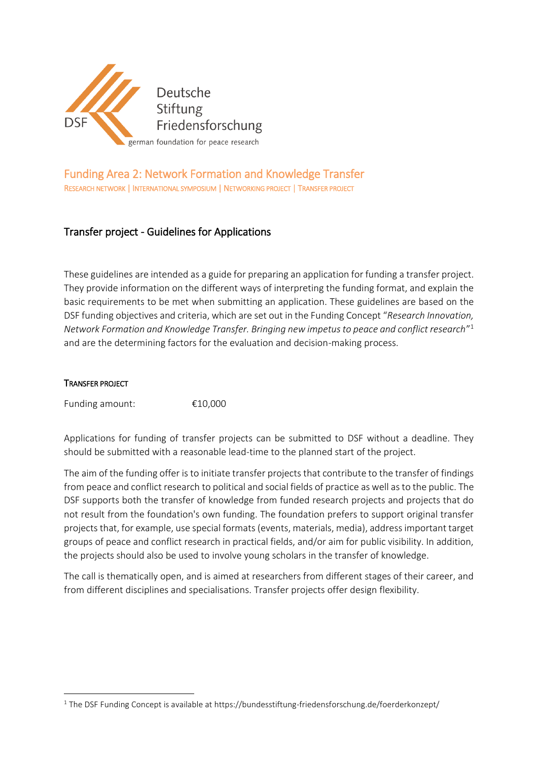

# Funding Area 2: Network Formation and Knowledge Transfer RESEARCH NETWORK | INTERNATIONAL SYMPOSIUM | NETWORKING PROJECT | TRANSFER PROJECT

# Transfer project - Guidelines for Applications

These guidelines are intended as a guide for preparing an application for funding a transfer project. They provide information on the different ways of interpreting the funding format, and explain the basic requirements to be met when submitting an application. These guidelines are based on the DSF funding objectives and criteria, which are set out in the Funding Concept "*Research Innovation, Network Formation and Knowledge Transfer. Bringing new impetus to peace and conflict research*" 1 and are the determining factors for the evaluation and decision-making process.

#### TRANSFER PROJECT

**.** 

Funding amount: €10,000

Applications for funding of transfer projects can be submitted to DSF without a deadline. They should be submitted with a reasonable lead-time to the planned start of the project.

The aim of the funding offer is to initiate transfer projects that contribute to the transfer of findings from peace and conflict research to political and social fields of practice as well as to the public. The DSF supports both the transfer of knowledge from funded research projects and projects that do not result from the foundation's own funding. The foundation prefers to support original transfer projects that, for example, use special formats (events, materials, media), address important target groups of peace and conflict research in practical fields, and/or aim for public visibility. In addition, the projects should also be used to involve young scholars in the transfer of knowledge.

The call is thematically open, and is aimed at researchers from different stages of their career, and from different disciplines and specialisations. Transfer projects offer design flexibility.

<sup>&</sup>lt;sup>1</sup> The DSF Funding Concept is available at https://bundesstiftung-friedensforschung.de/foerderkonzept/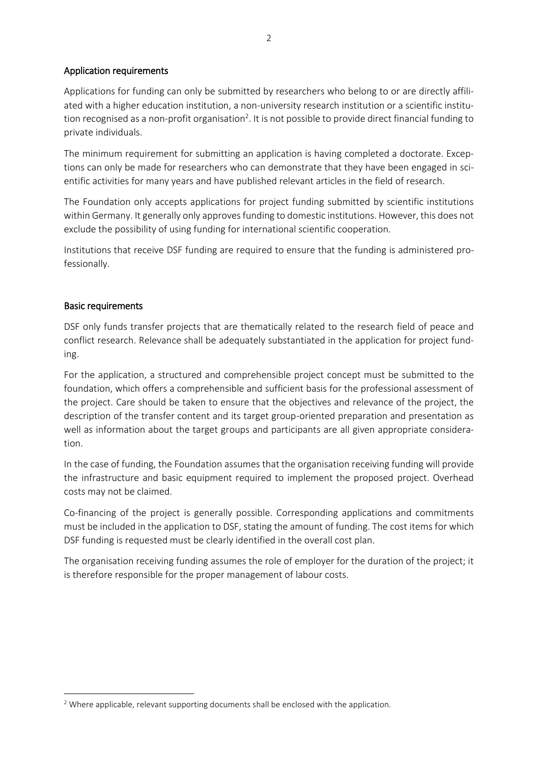### Application requirements

Applications for funding can only be submitted by researchers who belong to or are directly affiliated with a higher education institution, a non-university research institution or a scientific institution recognised as a non-profit organisation<sup>2</sup>. It is not possible to provide direct financial funding to private individuals.

The minimum requirement for submitting an application is having completed a doctorate. Exceptions can only be made for researchers who can demonstrate that they have been engaged in scientific activities for many years and have published relevant articles in the field of research.

The Foundation only accepts applications for project funding submitted by scientific institutions within Germany. It generally only approves funding to domestic institutions. However, this does not exclude the possibility of using funding for international scientific cooperation.

Institutions that receive DSF funding are required to ensure that the funding is administered professionally.

### Basic requirements

**.** 

DSF only funds transfer projects that are thematically related to the research field of peace and conflict research. Relevance shall be adequately substantiated in the application for project funding.

For the application, a structured and comprehensible project concept must be submitted to the foundation, which offers a comprehensible and sufficient basis for the professional assessment of the project. Care should be taken to ensure that the objectives and relevance of the project, the description of the transfer content and its target group-oriented preparation and presentation as well as information about the target groups and participants are all given appropriate consideration.

In the case of funding, the Foundation assumes that the organisation receiving funding will provide the infrastructure and basic equipment required to implement the proposed project. Overhead costs may not be claimed.

Co-financing of the project is generally possible. Corresponding applications and commitments must be included in the application to DSF, stating the amount of funding. The cost items for which DSF funding is requested must be clearly identified in the overall cost plan.

The organisation receiving funding assumes the role of employer for the duration of the project; it is therefore responsible for the proper management of labour costs.

<sup>&</sup>lt;sup>2</sup> Where applicable, relevant supporting documents shall be enclosed with the application.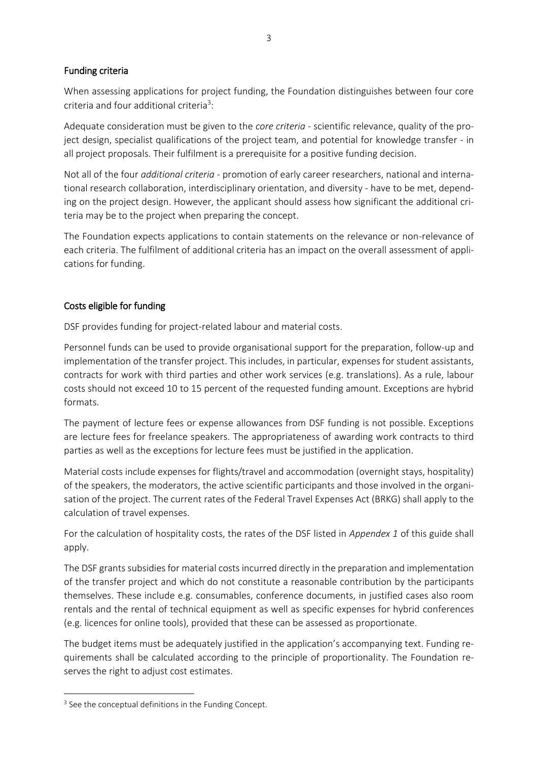## Funding criteria

When assessing applications for project funding, the Foundation distinguishes between four core criteria and four additional criteria<sup>3</sup>:

Adequate consideration must be given to the *core criteria* - scientific relevance, quality of the project design, specialist qualifications of the project team, and potential for knowledge transfer - in all project proposals. Their fulfilment is a prerequisite for a positive funding decision.

Not all of the four *additional criteria* - promotion of early career researchers, national and international research collaboration, interdisciplinary orientation, and diversity - have to be met, depending on the project design. However, the applicant should assess how significant the additional criteria may be to the project when preparing the concept.

The Foundation expects applications to contain statements on the relevance or non-relevance of each criteria. The fulfilment of additional criteria has an impact on the overall assessment of applications for funding.

## Costs eligible for funding

DSF provides funding for project-related labour and material costs.

Personnel funds can be used to provide organisational support for the preparation, follow-up and implementation of the transfer project. This includes, in particular, expenses for student assistants, contracts for work with third parties and other work services (e.g. translations). As a rule, labour costs should not exceed 10 to 15 percent of the requested funding amount. Exceptions are hybrid formats.

The payment of lecture fees or expense allowances from DSF funding is not possible. Exceptions are lecture fees for freelance speakers. The appropriateness of awarding work contracts to third parties as well as the exceptions for lecture fees must be justified in the application.

Material costs include expenses for flights/travel and accommodation (overnight stays, hospitality) of the speakers, the moderators, the active scientific participants and those involved in the organisation of the project. The current rates of the Federal Travel Expenses Act (BRKG) shall apply to the calculation of travel expenses.

For the calculation of hospitality costs, the rates of the DSF listed in *Appendex 1* of this guide shall apply.

The DSF grants subsidies for material costs incurred directly in the preparation and implementation of the transfer project and which do not constitute a reasonable contribution by the participants themselves. These include e.g. consumables, conference documents, in justified cases also room rentals and the rental of technical equipment as well as specific expenses for hybrid conferences (e.g. licences for online tools), provided that these can be assessed as proportionate.

The budget items must be adequately justified in the application's accompanying text. Funding requirements shall be calculated according to the principle of proportionality. The Foundation reserves the right to adjust cost estimates.

**.** 

<sup>&</sup>lt;sup>3</sup> See the conceptual definitions in the Funding Concept.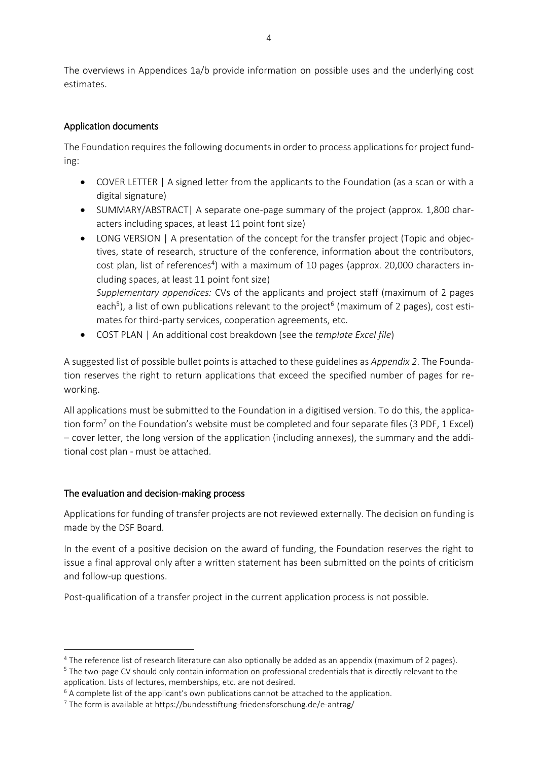The overviews in Appendices 1a/b provide information on possible uses and the underlying cost estimates.

# Application documents

The Foundation requires the following documents in order to process applications for project funding:

- COVER LETTER | A signed letter from the applicants to the Foundation (as a scan or with a digital signature)
- SUMMARY/ABSTRACT| A separate one-page summary of the project (approx. 1,800 characters including spaces, at least 11 point font size)
- LONG VERSION | A presentation of the concept for the transfer project (Topic and objectives, state of research, structure of the conference, information about the contributors, cost plan, list of references<sup>4</sup>) with a maximum of 10 pages (approx. 20,000 characters including spaces, at least 11 point font size) *Supplementary appendices:* CVs of the applicants and project staff (maximum of 2 pages each<sup>5</sup>), a list of own publications relevant to the project<sup>6</sup> (maximum of 2 pages), cost estimates for third-party services, cooperation agreements, etc.
- COST PLAN | An additional cost breakdown (see the *template Excel file*)

A suggested list of possible bullet points is attached to these guidelines as *Appendix 2*. The Foundation reserves the right to return applications that exceed the specified number of pages for reworking.

All applications must be submitted to the Foundation in a digitised version. To do this, the application form<sup>7</sup> on the Foundation's website must be completed and four separate files (3 PDF, 1 Excel) – cover letter, the long version of the application (including annexes), the summary and the additional cost plan - must be attached.

## The evaluation and decision-making process

**.** 

Applications for funding of transfer projects are not reviewed externally. The decision on funding is made by the DSF Board.

In the event of a positive decision on the award of funding, the Foundation reserves the right to issue a final approval only after a written statement has been submitted on the points of criticism and follow-up questions.

Post-qualification of a transfer project in the current application process is not possible.

<sup>4</sup> The reference list of research literature can also optionally be added as an appendix (maximum of 2 pages).

<sup>5</sup> The two-page CV should only contain information on professional credentials that is directly relevant to the application. Lists of lectures, memberships, etc. are not desired.

<sup>&</sup>lt;sup>6</sup> A complete list of the applicant's own publications cannot be attached to the application.

<sup>7</sup> The form is available at https://bundesstiftung-friedensforschung.de/e-antrag/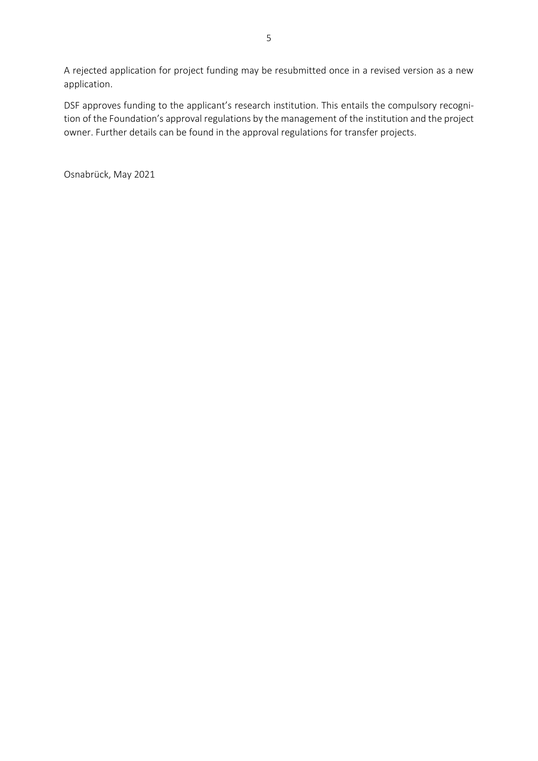A rejected application for project funding may be resubmitted once in a revised version as a new application.

DSF approves funding to the applicant's research institution. This entails the compulsory recognition of the Foundation's approval regulations by the management of the institution and the project owner. Further details can be found in the approval regulations for transfer projects.

Osnabrück, May 2021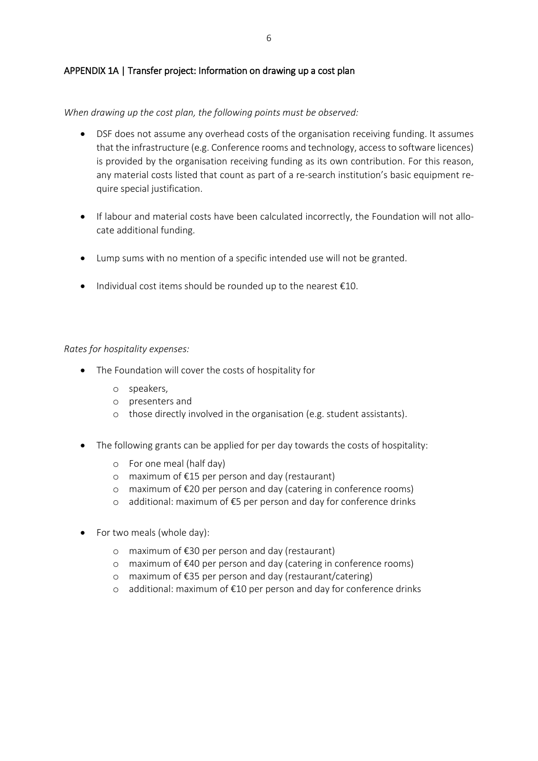### APPENDIX 1A | Transfer project: Information on drawing up a cost plan

*When drawing up the cost plan, the following points must be observed:*

- DSF does not assume any overhead costs of the organisation receiving funding. It assumes that the infrastructure (e.g. Conference rooms and technology, access to software licences) is provided by the organisation receiving funding as its own contribution. For this reason, any material costs listed that count as part of a re-search institution's basic equipment require special justification.
- If labour and material costs have been calculated incorrectly, the Foundation will not allocate additional funding.
- Lump sums with no mention of a specific intended use will not be granted.
- $\bullet$  Individual cost items should be rounded up to the nearest  $\epsilon$ 10.

*Rates for hospitality expenses:*

- The Foundation will cover the costs of hospitality for
	- o speakers,
	- o presenters and
	- o those directly involved in the organisation (e.g. student assistants).
- The following grants can be applied for per day towards the costs of hospitality:
	- o For one meal (half day)
	- o maximum of €15 per person and day (restaurant)
	- o maximum of €20 per person and day (catering in conference rooms)
	- o additional: maximum of €5 per person and day for conference drinks
- For two meals (whole day):
	- o maximum of €30 per person and day (restaurant)
	- o maximum of €40 per person and day (catering in conference rooms)
	- o maximum of €35 per person and day (restaurant/catering)
	- o additional: maximum of €10 per person and day for conference drinks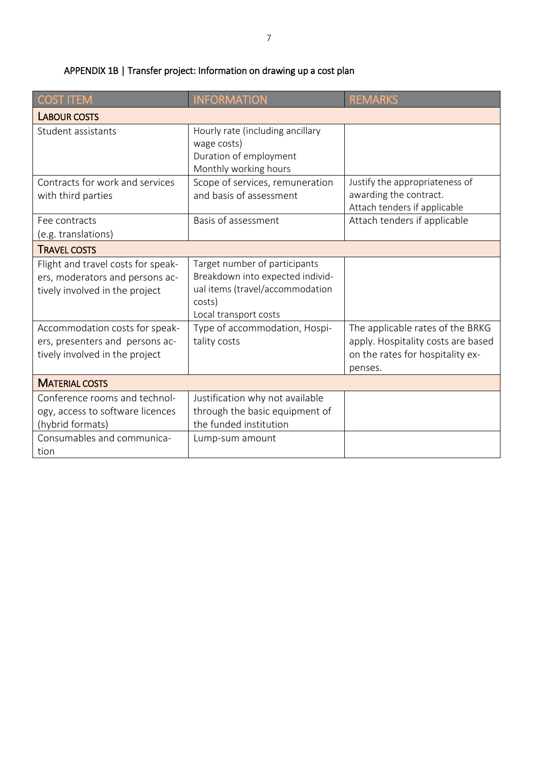| <b>COST ITEM</b>                                                                                                            | <b>INFORMATION</b>                                                                                                                      | <b>REMARKS</b>                                                                                                        |
|-----------------------------------------------------------------------------------------------------------------------------|-----------------------------------------------------------------------------------------------------------------------------------------|-----------------------------------------------------------------------------------------------------------------------|
| <b>LABOUR COSTS</b>                                                                                                         |                                                                                                                                         |                                                                                                                       |
| Student assistants                                                                                                          | Hourly rate (including ancillary<br>wage costs)<br>Duration of employment<br>Monthly working hours                                      |                                                                                                                       |
| Contracts for work and services<br>with third parties                                                                       | Scope of services, remuneration<br>and basis of assessment                                                                              | Justify the appropriateness of<br>awarding the contract.<br>Attach tenders if applicable                              |
| Fee contracts<br>(e.g. translations)                                                                                        | Basis of assessment                                                                                                                     | Attach tenders if applicable                                                                                          |
| <b>TRAVEL COSTS</b>                                                                                                         |                                                                                                                                         |                                                                                                                       |
| Flight and travel costs for speak-<br>ers, moderators and persons ac-<br>tively involved in the project                     | Target number of participants<br>Breakdown into expected individ-<br>ual items (travel/accommodation<br>costs)<br>Local transport costs |                                                                                                                       |
| Accommodation costs for speak-<br>ers, presenters and persons ac-<br>tively involved in the project                         | Type of accommodation, Hospi-<br>tality costs                                                                                           | The applicable rates of the BRKG<br>apply. Hospitality costs are based<br>on the rates for hospitality ex-<br>penses. |
| <b>MATERIAL COSTS</b>                                                                                                       |                                                                                                                                         |                                                                                                                       |
| Conference rooms and technol-<br>ogy, access to software licences<br>(hybrid formats)<br>Consumables and communica-<br>tion | Justification why not available<br>through the basic equipment of<br>the funded institution<br>Lump-sum amount                          |                                                                                                                       |

# APPENDIX 1B | Transfer project: Information on drawing up a cost plan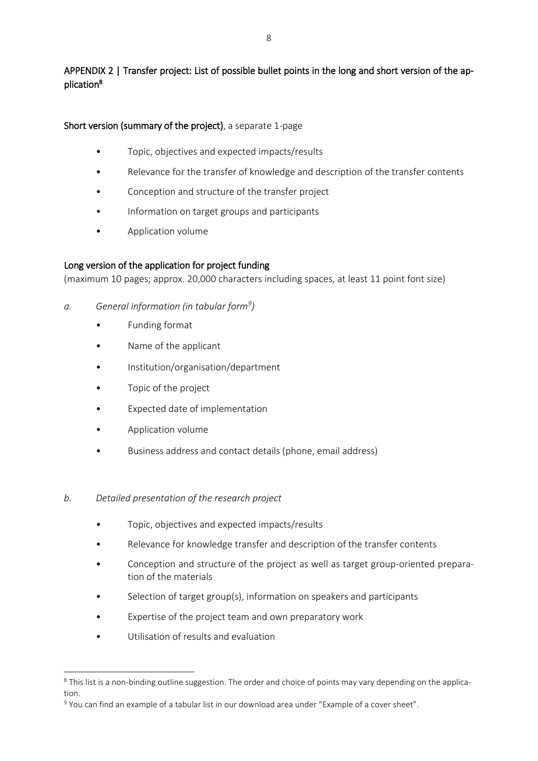# APPENDIX 2 | Transfer project: List of possible bullet points in the long and short version of the application<sup>8</sup>

## Short version (summary of the project), a separate 1-page

- Topic, objectives and expected impacts/results
- Relevance for the transfer of knowledge and description of the transfer contents
- Conception and structure of the transfer project
- Information on target groups and participants
- Application volume

## Long version of the application for project funding

(maximum 10 pages; approx. 20,000 characters including spaces, at least 11 point font size)

- *a. General information (in tabular form<sup>9</sup> )*
	- Funding format
	- Name of the applicant
	- Institution/organisation/department
	- Topic of the project
	- Expected date of implementation
	- Application volume
	- Business address and contact details (phone, email address)
- *b. Detailed presentation of the research project*
	- Topic, objectives and expected impacts/results
	- Relevance for knowledge transfer and description of the transfer contents
	- Conception and structure of the project as well as target group-oriented preparation of the materials
	- Selection of target group(s), information on speakers and participants
	- Expertise of the project team and own preparatory work
	- Utilisation of results and evaluation

**.** 

<sup>&</sup>lt;sup>8</sup> This list is a non-binding outline suggestion. The order and choice of points may vary depending on the application.

<sup>9</sup> You can find an example of a tabular list in our download area under "Example of a cover sheet".